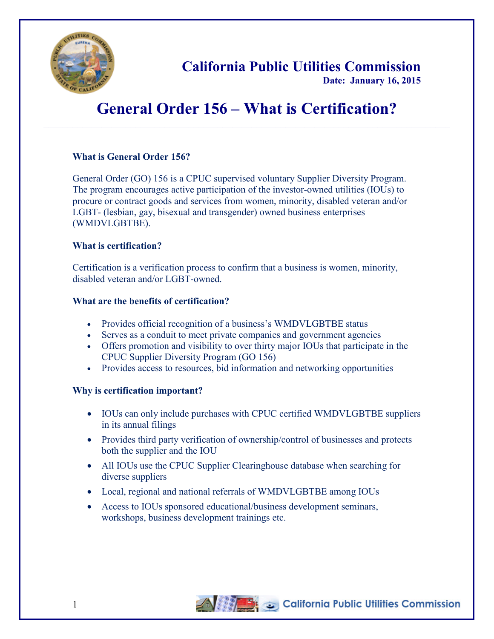

**California Public Utilities Commission**

**Date: January 16, 2015**

# **General Order 156 – What is Certification?**  $\_$  ,  $\_$  ,  $\_$  ,  $\_$  ,  $\_$  ,  $\_$  ,  $\_$  ,  $\_$  ,  $\_$  ,  $\_$  ,  $\_$  ,  $\_$  ,  $\_$  ,  $\_$  ,  $\_$  ,  $\_$  ,  $\_$  ,  $\_$  ,  $\_$  ,  $\_$  ,  $\_$  ,  $\_$  ,  $\_$  ,  $\_$  ,  $\_$  ,  $\_$  ,  $\_$  ,  $\_$  ,  $\_$  ,  $\_$  ,  $\_$  ,  $\_$  ,  $\_$  ,  $\_$  ,  $\_$  ,  $\_$  ,  $\_$  ,

## **What is General Order 156?**

General Order (GO) 156 is a CPUC supervised voluntary Supplier Diversity Program. The program encourages active participation of the investor-owned utilities (IOUs) to procure or contract goods and services from women, minority, disabled veteran and/or LGBT- (lesbian, gay, bisexual and transgender) owned business enterprises (WMDVLGBTBE).

## **What is certification?**

Certification is a verification process to confirm that a business is women, minority, disabled veteran and/or LGBT-owned.

## **What are the benefits of certification?**

- Provides official recognition of a business's WMDVLGBTBE status
- Serves as a conduit to meet private companies and government agencies
- Offers promotion and visibility to over thirty major IOUs that participate in the CPUC Supplier Diversity Program (GO 156)
- Provides access to resources, bid information and networking opportunities

## **Why is certification important?**

- IOUs can only include purchases with CPUC certified WMDVLGBTBE suppliers in its annual filings
- Provides third party verification of ownership/control of businesses and protects both the supplier and the IOU
- All IOUs use the CPUC Supplier Clearinghouse database when searching for diverse suppliers
- Local, regional and national referrals of WMDVLGBTBE among IOUs
- Access to IOUs sponsored educational/business development seminars, workshops, business development trainings etc.